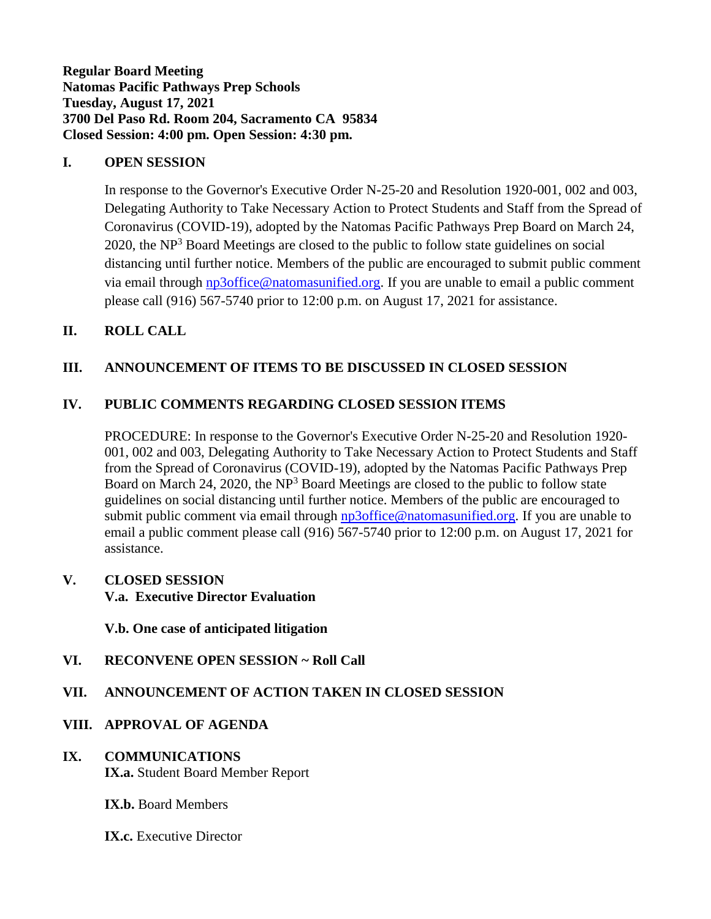**Regular Board Meeting Natomas Pacific Pathways Prep Schools Tuesday, August 17, 2021 3700 Del Paso Rd. Room 204, Sacramento CA 95834 Closed Session: 4:00 pm. Open Session: 4:30 pm.**

### **I. OPEN SESSION**

In response to the Governor's Executive Order N-25-20 and Resolution 1920-001, 002 and 003, Delegating Authority to Take Necessary Action to Protect Students and Staff from the Spread of Coronavirus (COVID-19), adopted by the Natomas Pacific Pathways Prep Board on March 24,  $2020$ , the NP<sup>3</sup> Board Meetings are closed to the public to follow state guidelines on social distancing until further notice. Members of the public are encouraged to submit public comment via email through [np3office@natomasunified.org.](mailto:np3office@natomasunified.org) If you are unable to email a public comment please call (916) 567-5740 prior to 12:00 p.m. on August 17, 2021 for assistance.

### **II. ROLL CALL**

## **III. ANNOUNCEMENT OF ITEMS TO BE DISCUSSED IN CLOSED SESSION**

#### **IV. PUBLIC COMMENTS REGARDING CLOSED SESSION ITEMS**

PROCEDURE: In response to the Governor's Executive Order N-25-20 and Resolution 1920- 001, 002 and 003, Delegating Authority to Take Necessary Action to Protect Students and Staff from the Spread of Coronavirus (COVID-19), adopted by the Natomas Pacific Pathways Prep Board on March 24, 2020, the  $NP<sup>3</sup>$  Board Meetings are closed to the public to follow state guidelines on social distancing until further notice. Members of the public are encouraged to submit public comment via email through [np3office@natomasunified.org.](mailto:np3office@natomasunified.org) If you are unable to email a public comment please call (916) 567-5740 prior to 12:00 p.m. on August 17, 2021 for assistance.

#### **V. CLOSED SESSION**

**V.a. Executive Director Evaluation**

**V.b. One case of anticipated litigation**

**VI. RECONVENE OPEN SESSION ~ Roll Call**

## **VII. ANNOUNCEMENT OF ACTION TAKEN IN CLOSED SESSION**

#### **VIII. APPROVAL OF AGENDA**

**IX. COMMUNICATIONS IX.a.** Student Board Member Report

**IX.b.** Board Members

**IX.c.** Executive Director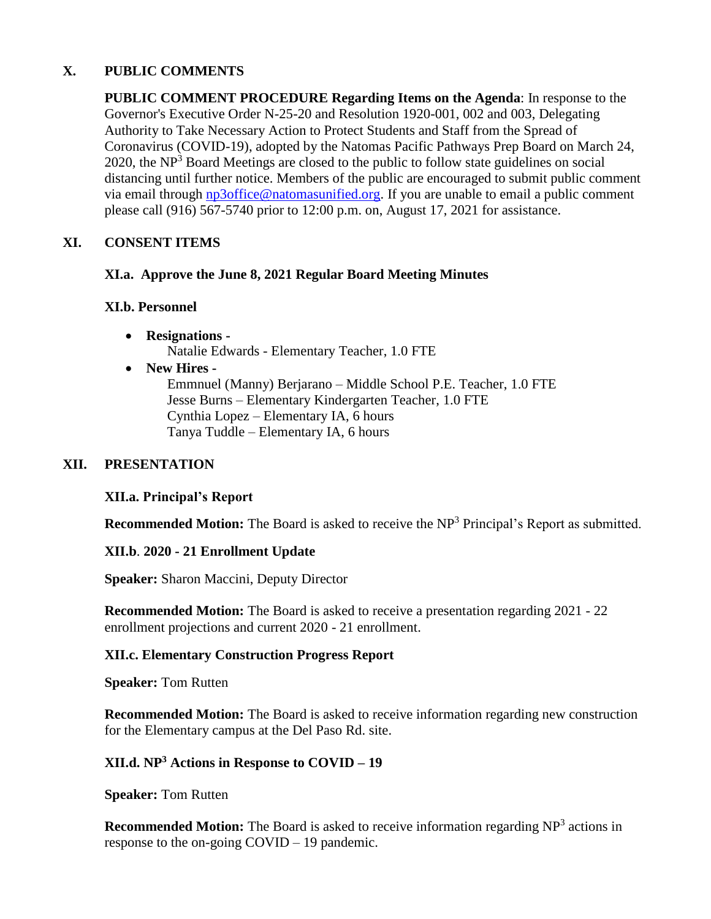## **X. PUBLIC COMMENTS**

**PUBLIC COMMENT PROCEDURE Regarding Items on the Agenda**: In response to the Governor's Executive Order N-25-20 and Resolution 1920-001, 002 and 003, Delegating Authority to Take Necessary Action to Protect Students and Staff from the Spread of Coronavirus (COVID-19), adopted by the Natomas Pacific Pathways Prep Board on March 24, 2020, the  $NP<sup>3</sup>$  Board Meetings are closed to the public to follow state guidelines on social distancing until further notice. Members of the public are encouraged to submit public comment via email through [np3office@natomasunified.org.](mailto:np3office@natomasunified.org) If you are unable to email a public comment please call (916) 567-5740 prior to 12:00 p.m. on, August 17, 2021 for assistance.

## **XI. CONSENT ITEMS**

### **XI.a. Approve the June 8, 2021 Regular Board Meeting Minutes**

## **XI.b. Personnel**

- **Resignations -** Natalie Edwards - Elementary Teacher, 1.0 FTE
- **New Hires -**

Emmnuel (Manny) Berjarano – Middle School P.E. Teacher, 1.0 FTE Jesse Burns – Elementary Kindergarten Teacher, 1.0 FTE Cynthia Lopez – Elementary IA, 6 hours Tanya Tuddle – Elementary IA, 6 hours

## **XII. PRESENTATION**

#### **XII.a. Principal's Report**

**Recommended Motion:** The Board is asked to receive the NP<sup>3</sup> Principal's Report as submitted.

#### **XII.b**. **2020 - 21 Enrollment Update**

**Speaker:** Sharon Maccini, Deputy Director

**Recommended Motion:** The Board is asked to receive a presentation regarding 2021 - 22 enrollment projections and current 2020 - 21 enrollment.

#### **XII.c. Elementary Construction Progress Report**

**Speaker:** Tom Rutten

**Recommended Motion:** The Board is asked to receive information regarding new construction for the Elementary campus at the Del Paso Rd. site.

## **XII.d. NP<sup>3</sup> Actions in Response to COVID – 19**

**Speaker:** Tom Rutten

**Recommended Motion:** The Board is asked to receive information regarding NP<sup>3</sup> actions in response to the on-going COVID – 19 pandemic.